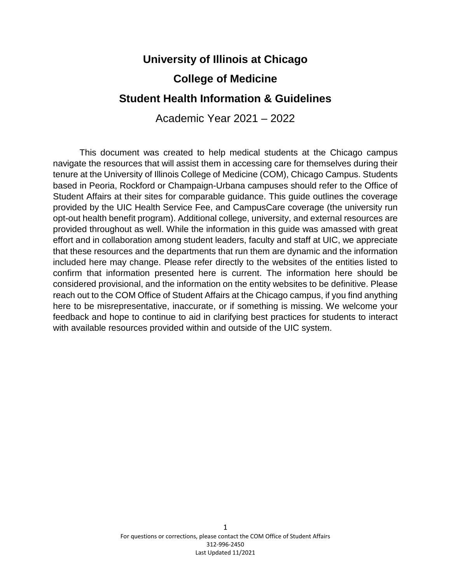# **University of Illinois at Chicago**

# **College of Medicine**

# **Student Health Information & Guidelines**

Academic Year 2021 – 2022

This document was created to help medical students at the Chicago campus navigate the resources that will assist them in accessing care for themselves during their tenure at the University of Illinois College of Medicine (COM), Chicago Campus. Students based in Peoria, Rockford or Champaign-Urbana campuses should refer to the Office of Student Affairs at their sites for comparable guidance. This guide outlines the coverage provided by the UIC Health Service Fee, and CampusCare coverage (the university run opt-out health benefit program). Additional college, university, and external resources are provided throughout as well. While the information in this guide was amassed with great effort and in collaboration among student leaders, faculty and staff at UIC, we appreciate that these resources and the departments that run them are dynamic and the information included here may change. Please refer directly to the websites of the entities listed to confirm that information presented here is current. The information here should be considered provisional, and the information on the entity websites to be definitive. Please reach out to the COM Office of Student Affairs at the Chicago campus, if you find anything here to be misrepresentative, inaccurate, or if something is missing. We welcome your feedback and hope to continue to aid in clarifying best practices for students to interact with available resources provided within and outside of the UIC system.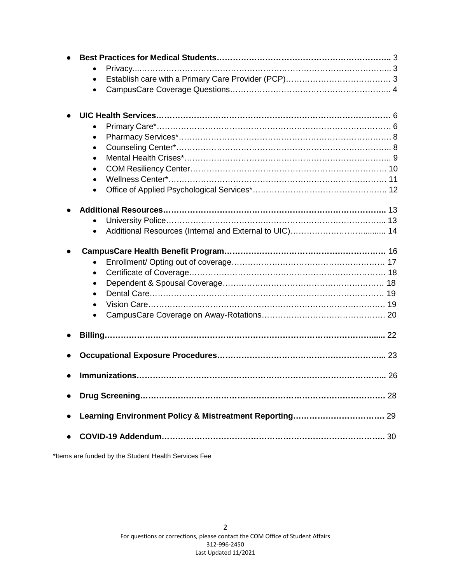|           | $\bullet$ |    |
|-----------|-----------|----|
|           | $\bullet$ |    |
|           |           |    |
|           |           |    |
|           | $\bullet$ |    |
|           | $\bullet$ |    |
|           | $\bullet$ |    |
|           | $\bullet$ |    |
|           |           |    |
|           |           |    |
|           |           |    |
|           | $\bullet$ |    |
|           | $\bullet$ |    |
|           |           |    |
|           | $\bullet$ |    |
|           | $\bullet$ |    |
|           | $\bullet$ |    |
|           | $\bullet$ |    |
|           | $\bullet$ |    |
|           |           |    |
|           |           |    |
|           |           | 23 |
|           |           |    |
|           |           |    |
| $\bullet$ |           |    |
|           |           |    |

\*Items are funded by the Student Health Services Fee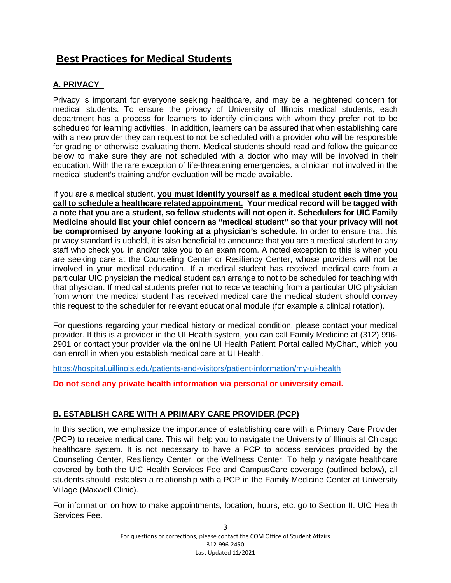# **Best Practices for Medical Students**

# **A. PRIVACY**

Privacy is important for everyone seeking healthcare, and may be a heightened concern for medical students. To ensure the privacy of University of Illinois medical students, each department has a process for learners to identify clinicians with whom they prefer not to be scheduled for learning activities. In addition, learners can be assured that when establishing care with a new provider they can request to not be scheduled with a provider who will be responsible for grading or otherwise evaluating them. Medical students should read and follow the guidance below to make sure they are not scheduled with a doctor who may will be involved in their education. With the rare exception of life-threatening emergencies, a clinician not involved in the medical student's training and/or evaluation will be made available.

If you are a medical student, **you must identify yourself as a medical student each time you call to schedule a healthcare related appointment. Your medical record will be tagged with a note that you are a student, so fellow students will not open it. Schedulers for UIC Family Medicine should list your chief concern as "medical student" so that your privacy will not be compromised by anyone looking at a physician's schedule.** In order to ensure that this privacy standard is upheld, it is also beneficial to announce that you are a medical student to any staff who check you in and/or take you to an exam room. A noted exception to this is when you are seeking care at the Counseling Center or Resiliency Center, whose providers will not be involved in your medical education. If a medical student has received medical care from a particular UIC physician the medical student can arrange to not to be scheduled for teaching with that physician. If medical students prefer not to receive teaching from a particular UIC physician from whom the medical student has received medical care the medical student should convey this request to the scheduler for relevant educational module (for example a clinical rotation).

For questions regarding your medical history or medical condition, please contact your medical provider. If this is a provider in the UI Health system, you can call Family Medicine at (312) 996- 2901 or contact your provider via the online UI Health Patient Portal called MyChart, which you can enroll in when you establish medical care at UI Health.

<https://hospital.uillinois.edu/patients-and-visitors/patient-information/my-ui-health>

**Do not send any private health information via personal or university email.**

## **B. ESTABLISH CARE WITH A PRIMARY CARE PROVIDER (PCP)**

In this section, we emphasize the importance of establishing care with a Primary Care Provider (PCP) to receive medical care. This will help you to navigate the University of Illinois at Chicago healthcare system. It is not necessary to have a PCP to access services provided by the Counseling Center, Resiliency Center, or the Wellness Center. To help y navigate healthcare covered by both the UIC Health Services Fee and CampusCare coverage (outlined below), all students should establish a relationship with a PCP in the Family Medicine Center at University Village (Maxwell Clinic).

For information on how to make appointments, location, hours, etc. go to Section II. UIC Health Services Fee.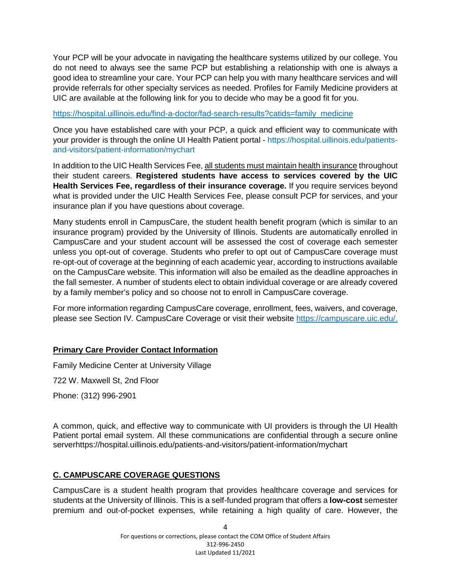Your PCP will be your advocate in navigating the healthcare systems utilized by our college. You do not need to always see the same PCP but establishing a relationship with one is always a good idea to streamline your care. Your PCP can help you with many healthcare services and will provide referrals for other specialty services as needed. Profiles for Family Medicine providers at UIC are available at the following link for you to decide who may be a good fit for you.

[https://hospital.uillinois.edu/find-a-doctor/fad-search-results?catids=family\\_medicine](https://hospital.uillinois.edu/find-a-doctor/fad-search-results?catids=family_medicine)

Once you have established care with your PCP, a quick and efficient way to communicate with your provider is through the online UI Health Patient portal - https://hospital.uillinois.edu/patientsand-visitors/patient-information/mychart

In addition to the UIC Health Services Fee, all students must maintain health insurance throughout their student careers. **Registered students have access to services covered by the UIC Health Services Fee, regardless of their insurance coverage.** If you require services beyond what is provided under the UIC Health Services Fee, please consult PCP for services, and your insurance plan if you have questions about coverage.

Many students enroll in CampusCare, the student health benefit program (which is similar to an insurance program) provided by the University of Illinois. Students are automatically enrolled in CampusCare and your student account will be assessed the cost of coverage each semester unless you opt-out of coverage. Students who prefer to opt out of CampusCare coverage must re-opt-out of coverage at the beginning of each academic year, according to instructions available on the CampusCare website. This information will also be emailed as the deadline approaches in the fall semester. A number of students elect to obtain individual coverage or are already covered by a family member's policy and so choose not to enroll in CampusCare coverage.

For more information regarding CampusCare coverage, enrollment, fees, waivers, and coverage, please see Section IV. CampusCare Coverage or visit their website [https://campuscare.uic.edu/.](https://campuscare.uic.edu/)

## **Primary Care Provider Contact Information**

Family Medicine Center at University Village

722 W. Maxwell St, 2nd Floor

Phone: (312) 996-2901

A common, quick, and effective way to communicate with UI providers is through the UI Health Patient portal email system. All these communications are confidential through a secure online serverhttps://hospital.uillinois.edu/patients-and-visitors/patient-information/mychart

## **C. CAMPUSCARE COVERAGE QUESTIONS**

CampusCare is a student health program that provides healthcare coverage and services for students at the University of Illinois. This is a self-funded program that offers a **low-cost** semester premium and out-of-pocket expenses, while retaining a high quality of care. However, the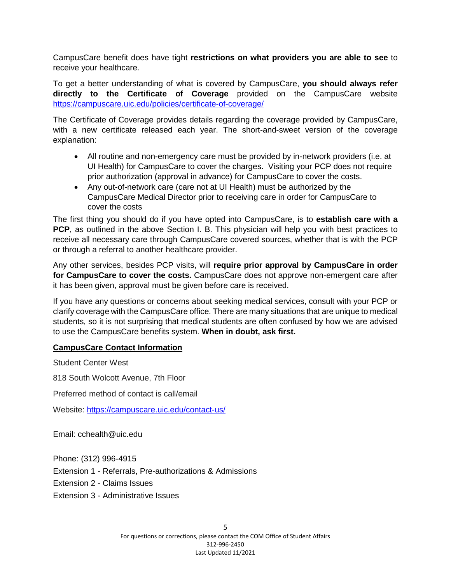CampusCare benefit does have tight **restrictions on what providers you are able to see** to receive your healthcare.

To get a better understanding of what is covered by CampusCare, **you should always refer directly to the Certificate of Coverage** provided on the CampusCare website https://campuscare.uic.edu/policies/certificate-of-coverage/

The Certificate of Coverage provides details regarding the coverage provided by CampusCare, with a new certificate released each year. The short-and-sweet version of the coverage explanation:

- All routine and non-emergency care must be provided by in-network providers (i.e. at UI Health) for CampusCare to cover the charges. Visiting your PCP does not require prior authorization (approval in advance) for CampusCare to cover the costs.
- Any out-of-network care (care not at UI Health) must be authorized by the CampusCare Medical Director prior to receiving care in order for CampusCare to cover the costs

The first thing you should do if you have opted into CampusCare, is to **establish care with a PCP**, as outlined in the above Section I. B. This physician will help you with best practices to receive all necessary care through CampusCare covered sources, whether that is with the PCP or through a referral to another healthcare provider.

Any other services, besides PCP visits, will **require prior approval by CampusCare in order for CampusCare to cover the costs.** CampusCare does not approve non-emergent care after it has been given, approval must be given before care is received.

If you have any questions or concerns about seeking medical services, consult with your PCP or clarify coverage with the CampusCare office. There are many situations that are unique to medical students, so it is not surprising that medical students are often confused by how we are advised to use the CampusCare benefits system. **When in doubt, ask first.** 

#### **CampusCare Contact Information**

Student Center West

818 South Wolcott Avenue, 7th Floor

Preferred method of contact is call/email

Website:<https://campuscare.uic.edu/contact-us/>

Email: cchealth@uic.edu

Phone: (312) 996-4915

Extension 1 - Referrals, Pre-authorizations & Admissions

Extension 2 - Claims Issues

Extension 3 - Administrative Issues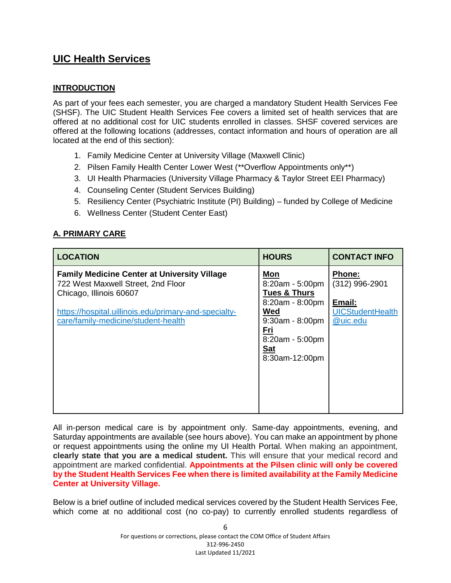# **UIC Health Services**

## **INTRODUCTION**

As part of your fees each semester, you are charged a mandatory Student Health Services Fee (SHSF). The UIC Student Health Services Fee covers a limited set of health services that are offered at no additional cost for UIC students enrolled in classes. SHSF covered services are offered at the following locations (addresses, contact information and hours of operation are all located at the end of this section):

- 1. Family Medicine Center at University Village (Maxwell Clinic)
- 2. Pilsen Family Health Center Lower West (\*\*Overflow Appointments only\*\*)
- 3. UI Health Pharmacies (University Village Pharmacy & Taylor Street EEI Pharmacy)
- 4. Counseling Center (Student Services Building)
- 5. Resiliency Center (Psychiatric Institute (PI) Building) funded by College of Medicine
- 6. Wellness Center (Student Center East)

## **[A. PRIMARY CARE](https://hospital.uillinois.edu/primary-and-specialty-care/family-medicine/student-health)**

| <b>LOCATION</b>                                                                                                                                                                                                      | <b>HOURS</b>                                                                                                                                             | <b>CONTACT INFO</b>                                                                |
|----------------------------------------------------------------------------------------------------------------------------------------------------------------------------------------------------------------------|----------------------------------------------------------------------------------------------------------------------------------------------------------|------------------------------------------------------------------------------------|
| <b>Family Medicine Center at University Village</b><br>722 West Maxwell Street, 2nd Floor<br>Chicago, Illinois 60607<br>https://hospital.uillinois.edu/primary-and-specialty-<br>care/family-medicine/student-health | <u>Mon</u><br>$8:20am - 5:00pm$<br>Tues & Thurs<br>8:20am - 8:00pm<br>Wed<br>$9:30am - 8:00pm$<br>Fri<br>8:20am - 5:00pm<br><u>Sat</u><br>8:30am-12:00pm | <b>Phone:</b><br>$(312)$ 996-2901<br>Email:<br><b>UICStudentHealth</b><br>@uic.edu |

All in-person medical care is by appointment only. Same-day appointments, evening, and Saturday appointments are available (see hours above). You can make an appointment by phone or request appointments using the online my UI Health Portal. When making an appointment, **clearly state that you are a medical student.** This will ensure that your medical record and appointment are marked confidential. **Appointments at the Pilsen clinic will only be covered by the Student Health Services Fee when there is limited availability at the Family Medicine Center at University Village.**

Below is a brief outline of included medical services covered by the Student Health Services Fee, which come at no additional cost (no co-pay) to currently enrolled students regardless of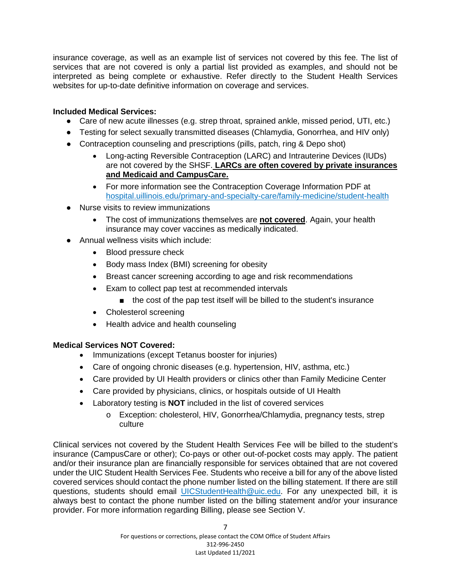insurance coverage, as well as an example list of services not covered by this fee. The list of services that are not covered is only a partial list provided as examples, and should not be interpreted as being complete or exhaustive. Refer directly to the Student Health Services websites for up-to-date definitive information on coverage and services.

#### **Included Medical Services:**

- Care of new acute illnesses (e.g. strep throat, sprained ankle, missed period, UTI, etc.)
- Testing for select sexually transmitted diseases (Chlamydia, Gonorrhea, and HIV only)
- Contraception counseling and prescriptions (pills, patch, ring & Depo shot)
	- Long-acting Reversible Contraception (LARC) and Intrauterine Devices (IUDs) are not covered by the SHSF. **LARCs are often covered by private insurances and Medicaid and CampusCare.**
	- For more information see the Contraception Coverage Information PDF at [hospital.uillinois.edu/primary-and-specialty-care/family-medicine/student-health](https://hospital.uillinois.edu/primary-and-specialty-care/family-medicine/student-health)
- Nurse visits to review immunizations
	- The cost of immunizations themselves are **not covered**. Again, your health insurance may cover vaccines as medically indicated.
- Annual wellness visits which include:
	- Blood pressure check
	- Body mass Index (BMI) screening for obesity
	- Breast cancer screening according to age and risk recommendations
	- Exam to collect pap test at recommended intervals
		- the cost of the pap test itself will be billed to the student's insurance
	- Cholesterol screening
	- Health advice and health counseling

#### **Medical Services NOT Covered:**

- Immunizations (except Tetanus booster for injuries)
- Care of ongoing chronic diseases (e.g. hypertension, HIV, asthma, etc.)
- Care provided by UI Health providers or clinics other than Family Medicine Center
- Care provided by physicians, clinics, or hospitals outside of UI Health
- Laboratory testing is **NOT** included in the list of covered services
	- o Exception: cholesterol, HIV, Gonorrhea/Chlamydia, pregnancy tests, strep culture

Clinical services not covered by the Student Health Services Fee will be billed to the student's insurance (CampusCare or other); Co-pays or other out-of-pocket costs may apply. The patient and/or their insurance plan are financially responsible for services obtained that are not covered under the UIC Student Health Services Fee. Students who receive a bill for any of the above listed covered services should contact the phone number listed on the billing statement. If there are still questions, students should email [UICStudentHealth@uic.edu.](mailto:UICStudentHealth@uic.edu) For any unexpected bill, it is always best to contact the phone number listed on the billing statement and/or your insurance provider. For more information regarding Billing, please see Section V.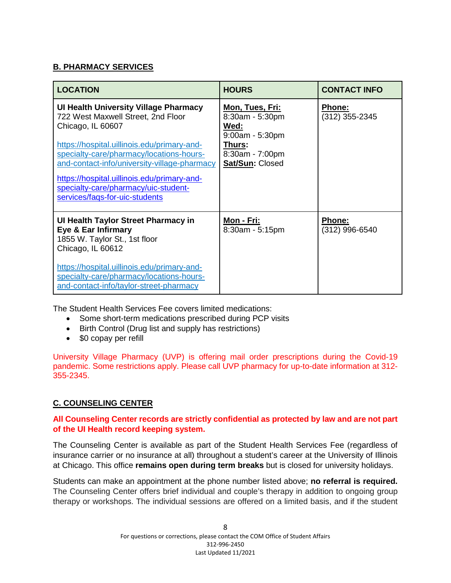## **B. PHARMACY SERVICES**

| <b>LOCATION</b>                                                                                                                                                                                                                                                                                                                                                             | <b>HOURS</b>                                                                                                    | <b>CONTACT INFO</b>             |
|-----------------------------------------------------------------------------------------------------------------------------------------------------------------------------------------------------------------------------------------------------------------------------------------------------------------------------------------------------------------------------|-----------------------------------------------------------------------------------------------------------------|---------------------------------|
| <b>UI Health University Village Pharmacy</b><br>722 West Maxwell Street, 2nd Floor<br>Chicago, IL 60607<br>https://hospital.uillinois.edu/primary-and-<br>specialty-care/pharmacy/locations-hours-<br>and-contact-info/university-village-pharmacy<br>https://hospital.uillinois.edu/primary-and-<br>specialty-care/pharmacy/uic-student-<br>services/faqs-for-uic-students | Mon, Tues, Fri:<br>8:30am - 5:30pm<br>Wed:<br>$9:00am - 5:30pm$<br>Thurs:<br>8:30am - 7:00pm<br>Sat/Sun: Closed | <b>Phone:</b><br>(312) 355-2345 |
| Ul Health Taylor Street Pharmacy in<br>Eye & Ear Infirmary<br>1855 W. Taylor St., 1st floor<br>Chicago, IL 60612                                                                                                                                                                                                                                                            | Mon - Fri:<br>$8:30am - 5:15pm$                                                                                 | <b>Phone:</b><br>(312) 996-6540 |
| https://hospital.uillinois.edu/primary-and-<br>specialty-care/pharmacy/locations-hours-<br>and-contact-info/taylor-street-pharmacy                                                                                                                                                                                                                                          |                                                                                                                 |                                 |

The Student Health Services Fee covers limited medications:

- Some short-term medications prescribed during PCP visits
- Birth Control (Drug list and supply has restrictions)
- \$0 copay per refill

University Village Pharmacy (UVP) is offering mail order prescriptions during the Covid-19 pandemic. Some restrictions apply. Please call UVP pharmacy for up-to-date information at 312- 355-2345.

## **[C. COUNSELING CENTER](https://counseling.uic.edu/)**

#### **All Counseling Center records are strictly confidential as protected by law and are not part of the UI Health record keeping system.**

The Counseling Center is available as part of the Student Health Services Fee (regardless of insurance carrier or no insurance at all) throughout a student's career at the University of Illinois at Chicago. This office **remains open during term breaks** but is closed for university holidays.

Students can make an appointment at the phone number listed above; **no referral is required.** The Counseling Center offers brief individual and couple's therapy in addition to ongoing group therapy or workshops. The individual sessions are offered on a limited basis, and if the student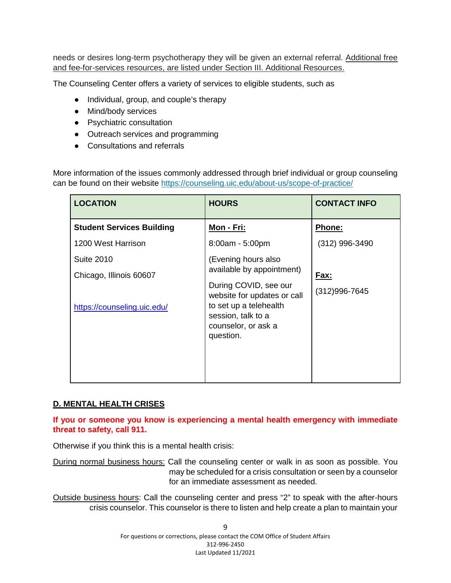needs or desires long-term psychotherapy they will be given an external referral. Additional free and fee-for-services resources, are listed under Section III. Additional Resources.

The Counseling Center offers a variety of services to eligible students, such as

- Individual, group, and couple's therapy
- Mind/body services
- Psychiatric consultation
- Outreach services and programming
- Consultations and referrals

More information of the issues commonly addressed through brief individual or group counseling can be found on their website<https://counseling.uic.edu/about-us/scope-of-practice/>

| <b>LOCATION</b>                  | <b>HOURS</b>                                                                                                                             | <b>CONTACT INFO</b> |
|----------------------------------|------------------------------------------------------------------------------------------------------------------------------------------|---------------------|
| <b>Student Services Building</b> | Mon - Fri:                                                                                                                               | <b>Phone:</b>       |
| 1200 West Harrison               | 8:00am - 5:00pm                                                                                                                          | $(312)$ 996-3490    |
| <b>Suite 2010</b>                | (Evening hours also                                                                                                                      |                     |
| Chicago, Illinois 60607          | available by appointment)                                                                                                                | <u>Fax:</u>         |
| https://counseling.uic.edu/      | During COVID, see our<br>website for updates or call<br>to set up a telehealth<br>session, talk to a<br>counselor, or ask a<br>question. | (312) 996-7645      |

## **D. MENTAL HEALTH CRISES**

**If you or someone you know is experiencing a mental health emergency with immediate threat to safety, call 911.**

Otherwise if you think this is a mental health crisis:

During normal business hours: Call the counseling center or walk in as soon as possible. You may be scheduled for a crisis consultation or seen by a counselor for an immediate assessment as needed.

Outside business hours: Call the counseling center and press "2" to speak with the after-hours crisis counselor. This counselor is there to listen and help create a plan to maintain your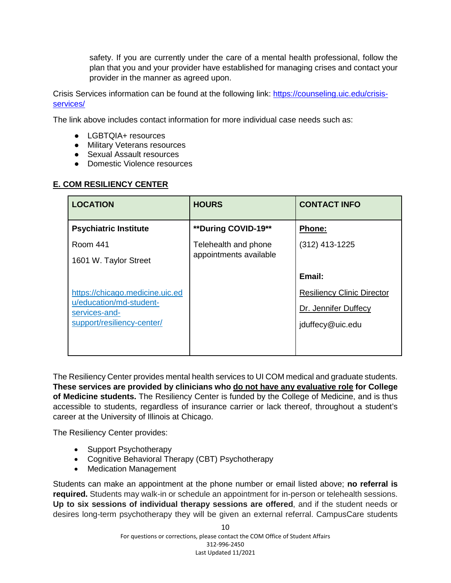safety. If you are currently under the care of a mental health professional, follow the plan that you and your provider have established for managing crises and contact your provider in the manner as agreed upon.

Crisis Services information can be found at the following link: [https://counseling.uic.edu/crisis](https://counseling.uic.edu/crisis-services/)[services/](https://counseling.uic.edu/crisis-services/)

The link above includes contact information for more individual case needs such as:

- LGBTQIA+ resources
- Military Veterans resources
- Sexual Assault resources
- Domestic Violence resources

## **E. COM RESILIENCY CENTER**

| <b>HOURS</b>         | <b>CONTACT INFO</b>               |
|----------------------|-----------------------------------|
| **During COVID-19**  | Phone:                            |
| Telehealth and phone | (312) 413-1225                    |
|                      |                                   |
|                      | Email:                            |
|                      | <b>Resiliency Clinic Director</b> |
|                      | Dr. Jennifer Duffecy              |
|                      | jduffecy@uic.edu                  |
|                      |                                   |
|                      | appointments available            |

The Resiliency Center provides mental health services to UI COM medical and graduate students. **These services are provided by clinicians who do not have any evaluative role for College of Medicine students.** The Resiliency Center is funded by the College of Medicine, and is thus accessible to students, regardless of insurance carrier or lack thereof, throughout a student's career at the University of Illinois at Chicago.

The Resiliency Center provides:

- Support Psychotherapy
- Cognitive Behavioral Therapy (CBT) Psychotherapy
- Medication Management

Students can make an appointment at the phone number or email listed above; **no referral is required.** Students may walk-in or schedule an appointment for in-person or telehealth sessions. **Up to six sessions of individual therapy sessions are offered**, and if the student needs or desires long-term psychotherapy they will be given an external referral. CampusCare students

> 10 For questions or corrections, please contact the COM Office of Student Affairs 312-996-2450 Last Updated 11/2021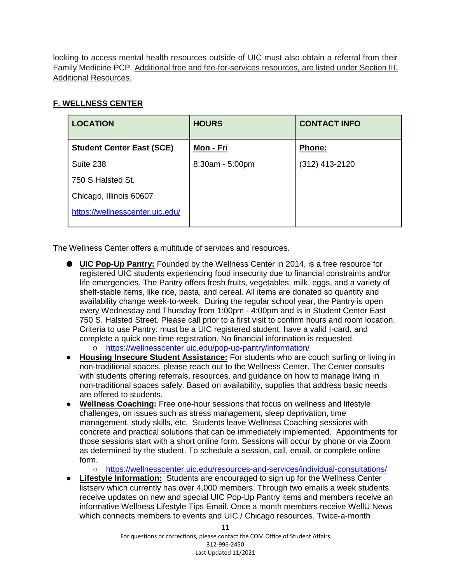looking to access mental health resources outside of UIC must also obtain a referral from their Family Medicine PCP. Additional free and fee-for-services resources, are listed under Section III. Additional Resources.

## **F. WELLNESS CENTER**

| <b>LOCATION</b>                  | <b>HOURS</b>    | <b>CONTACT INFO</b> |
|----------------------------------|-----------------|---------------------|
| <b>Student Center East (SCE)</b> | Mon - Fri       | <b>Phone:</b>       |
| Suite 238                        | 8:30am - 5:00pm | $(312)$ 413-2120    |
| 750 S Halsted St.                |                 |                     |
| Chicago, Illinois 60607          |                 |                     |
| https://wellnesscenter.uic.edu/  |                 |                     |

The Wellness Center offers a multitude of services and resources.

- **UIC Pop-Up Pantry:** Founded by the Wellness Center in 2014, is a free resource for registered UIC students experiencing food insecurity due to financial constraints and/or life emergencies. The Pantry offers fresh fruits, vegetables, milk, eggs, and a variety of shelf-stable items, like rice, pasta, and cereal. All items are donated so quantity and availability change week-to-week. During the regular school year, the Pantry is open every Wednesday and Thursday from 1:00pm - 4:00pm and is in Student Center East 750 S. Halsted Street. Please call prior to a first visit to confirm hours and room location. Criteria to use Pantry: must be a UIC registered student, have a valid I-card, and complete a quick one-time registration. No financial information is requested.
	- <https://wellnesscenter.uic.edu/pop-up-pantry/information/>
- **Housing Insecure Student Assistance:** For students who are couch surfing or living in non-traditional spaces, please reach out to the Wellness Center. The Center consults with students offering referrals, resources, and guidance on how to manage living in non-traditional spaces safely. Based on availability, supplies that address basic needs are offered to students.
- **Wellness Coaching:** Free one-hour sessions that focus on wellness and lifestyle challenges, on issues such as stress management, sleep deprivation, time management, study skills, etc. Students leave Wellness Coaching sessions with concrete and practical solutions that can be immediately implemented. Appointments for those sessions start with a short online form. Sessions will occur by phone or via Zoom as determined by the student. To schedule a session, call, email, or complete online form.
	- <https://wellnesscenter.uic.edu/resources-and-services/individual-consultations/>
- **Lifestyle Information:** Students are encouraged to sign up for the Wellness Center listserv which currently has over 4,000 members. Through two emails a week students receive updates on new and special UIC Pop-Up Pantry items and members receive an informative Wellness Lifestyle Tips Email. Once a month members receive WellU News which connects members to events and UIC / Chicago resources. Twice-a-month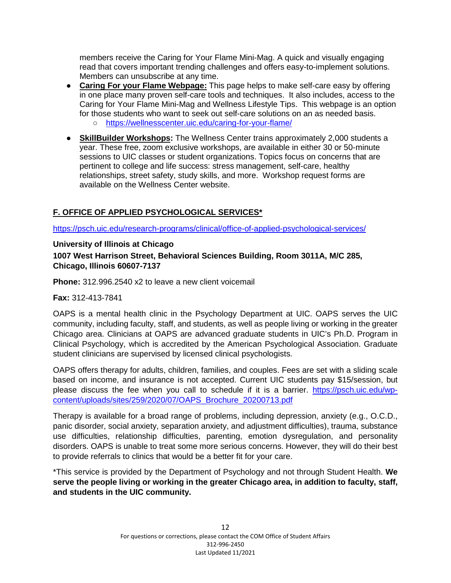members receive the Caring for Your Flame Mini-Mag. A quick and visually engaging read that covers important trending challenges and offers easy-to-implement solutions. Members can unsubscribe at any time.

- **Caring For your Flame Webpage:** This page helps to make self-care easy by offering in one place many proven self-care tools and techniques. It also includes, access to the Caring for Your Flame Mini-Mag and Wellness Lifestyle Tips. This webpage is an option for those students who want to seek out self-care solutions on an as needed basis. <https://wellnesscenter.uic.edu/caring-for-your-flame/>
- **SkillBuilder Workshops:** The Wellness Center trains approximately 2,000 students a year. These free, zoom exclusive workshops, are available in either 30 or 50-minute sessions to UIC classes or student organizations. Topics focus on concerns that are pertinent to college and life success: stress management, self-care, healthy relationships, street safety, study skills, and more. Workshop request forms are available on the Wellness Center website.

## **F. OFFICE OF APPLIED PSYCHOLOGICAL SERVICES\***

<https://psch.uic.edu/research-programs/clinical/office-of-applied-psychological-services/>

## **University of Illinois at Chicago**

## **1007 West Harrison Street, Behavioral Sciences Building, Room 3011A, M/C 285, Chicago, Illinois 60607-7137**

**Phone:** [312.996.2540](tel:312.996.2540) x2 to leave a new client voicemail

**Fax:** 312-413-7841

OAPS is a mental health clinic in the Psychology Department at UIC. OAPS serves the UIC community, including faculty, staff, and students, as well as people living or working in the greater Chicago area. Clinicians at OAPS are advanced graduate students in UIC's Ph.D. Program in Clinical Psychology, which is accredited by the American Psychological Association. Graduate student clinicians are supervised by licensed clinical psychologists.

OAPS offers therapy for adults, children, families, and couples. Fees are set with a sliding scale based on income, and insurance is not accepted. Current UIC students pay \$15/session, but please discuss the fee when you call to schedule if it is a barrier. [https://psch.uic.edu/wp](https://psch.uic.edu/wp-content/uploads/sites/259/2020/07/OAPS_Brochure_20200713.pdf)[content/uploads/sites/259/2020/07/OAPS\\_Brochure\\_20200713.pdf](https://psch.uic.edu/wp-content/uploads/sites/259/2020/07/OAPS_Brochure_20200713.pdf)

Therapy is available for a broad range of problems, including depression, anxiety (e.g., O.C.D., panic disorder, social anxiety, separation anxiety, and adjustment difficulties), trauma, substance use difficulties, relationship difficulties, parenting, emotion dysregulation, and personality disorders. OAPS is unable to treat some more serious concerns. However, they will do their best to provide referrals to clinics that would be a better fit for your care.

\*This service is provided by the Department of Psychology and not through Student Health. **We serve the people living or working in the greater Chicago area, in addition to faculty, staff, and students in the UIC community.**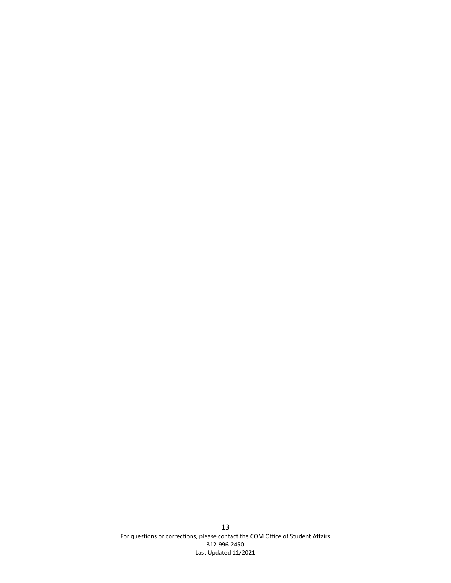13 For questions or corrections, please contact the COM Office of Student Affairs 312-996-2450 Last Updated 11/2021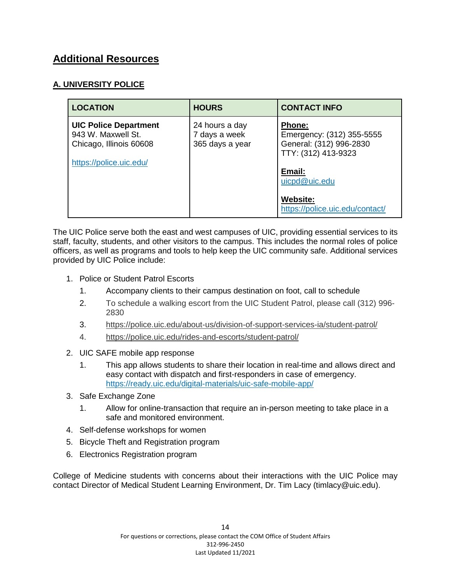# **Additional Resources**

## **A. UNIVERSITY POLICE**

| <b>LOCATION</b>                                                               | <b>HOURS</b>                                       | <b>CONTACT INFO</b>                                                                          |
|-------------------------------------------------------------------------------|----------------------------------------------------|----------------------------------------------------------------------------------------------|
| <b>UIC Police Department</b><br>943 W. Maxwell St.<br>Chicago, Illinois 60608 | 24 hours a day<br>7 days a week<br>365 days a year | <b>Phone:</b><br>Emergency: (312) 355-5555<br>General: (312) 996-2830<br>TTY: (312) 413-9323 |
| https://police.uic.edu/                                                       |                                                    | Email:<br>uicpd@uic.edu                                                                      |
|                                                                               |                                                    | <b>Website:</b><br>https://police.uic.edu/contact/                                           |

The UIC Police serve both the east and west campuses of UIC, providing essential services to its staff, faculty, students, and other visitors to the campus. This includes the normal roles of police officers, as well as programs and tools to help keep the UIC community safe. Additional services provided by UIC Police include:

- 1. Police or Student Patrol Escorts
	- 1. Accompany clients to their campus destination on foot, call to schedule
	- 2. To schedule a walking escort from the UIC Student Patrol, please call (312) 996- 2830
	- 3. <https://police.uic.edu/about-us/division-of-support-services-ia/student-patrol/>
	- 4. <https://police.uic.edu/rides-and-escorts/student-patrol/>
- 2. UIC SAFE mobile app response
	- 1. This app allows students to share their location in real-time and allows direct and easy contact with dispatch and first-responders in case of emergency. <https://ready.uic.edu/digital-materials/uic-safe-mobile-app/>
- 3. Safe Exchange Zone
	- 1. Allow for online-transaction that require an in-person meeting to take place in a safe and monitored environment.
- 4. Self-defense workshops for women
- 5. Bicycle Theft and Registration program
- 6. Electronics Registration program

College of Medicine students with concerns about their interactions with the UIC Police may contact Director of Medical Student Learning Environment, Dr. Tim Lacy (timlacy@uic.edu).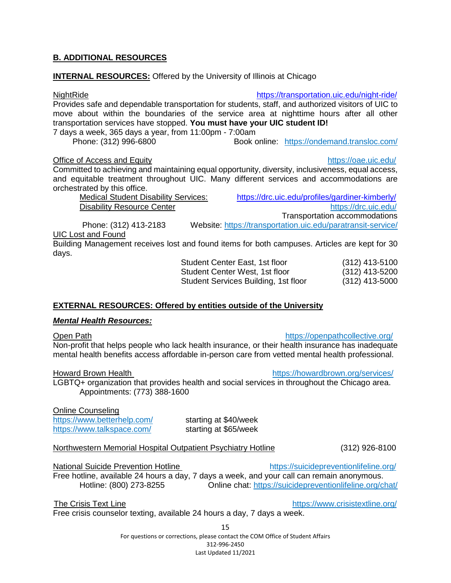#### **B. ADDITIONAL RESOURCES**

#### **INTERNAL RESOURCES:** Offered by the University of Illinois at Chicago

#### NightRide <https://transportation.uic.edu/night-ride/> Provides safe and dependable transportation for students, staff, and authorized visitors of UIC to move about within the boundaries of the service area at nighttime hours after all other transportation services have stopped. **You must have your UIC student ID!** 7 days a week, 365 days a year, from 11:00pm - 7:00am

Phone: (312) 996-6800 Book online: <https://ondemand.transloc.com/>

#### Office of Access and Equity **<https://oae.uic.edu/>** https://oae.uic.edu/

Committed to achieving and maintaining equal opportunity, diversity, inclusiveness, equal access, and equitable treatment throughout UIC. Many different services and accommodations are orchestrated by this office.

| <b>Medical Student Disability Services:</b> | https://drc.uic.edu/profiles/gardiner-kimberly/ |
|---------------------------------------------|-------------------------------------------------|
| <b>Disability Resource Center</b>           | https://drc.uic.edu/                            |
|                                             | Transportation accommodations                   |

Phone: (312) 413-2183 Website:<https://transportation.uic.edu/paratransit-service/>

#### UIC Lost and Found

Building Management receives lost and found items for both campuses. Articles are kept for 30 days.

> Student Center East, 1st floor (312) 413-5100<br>Student Center West, 1st floor (312) 413-5200 Student Center West, 1st floor Student Services Building, 1st floor (312) 413-5000

#### **EXTERNAL RESOURCES: Offered by entities outside of the University**

#### *Mental Health Resources:*

#### Open Path **<https://openpathcollective.org/> https://openpathcollective.org/**

Non-profit that helps people who lack health insurance, or their health insurance has inadequate mental health benefits access affordable in-person care from vetted mental health professional.

LGBTQ+ organization that provides health and social services in throughout the Chicago area. Appointments: (773) 388-1600

Online Counseling

<https://www.betterhelp.com/> starting at \$40/week<br>https://www.talkspace.com/ starting at \$65/week <https://www.talkspace.com/>

#### Northwestern Memorial Hospital Outpatient Psychiatry Hotline (312) 926-8100

National Suicide Prevention Hotline <https://suicidepreventionlifeline.org/>

Free hotline, available 24 hours a day, 7 days a week, and your call can remain anonymous. Hotline: (800) 273-8255 **Online chat:<https://suicidepreventionlifeline.org/chat/>** 

Free crisis counselor texting, available 24 hours a day, 7 days a week.

15 For questions or corrections, please contact the COM Office of Student Affairs 312-996-2450 Last Updated 11/2021

Howard Brown Health **<https://howardbrown.org/services/>** 

#### The Crisis Text Line **<https://www.crisistextline.org/>**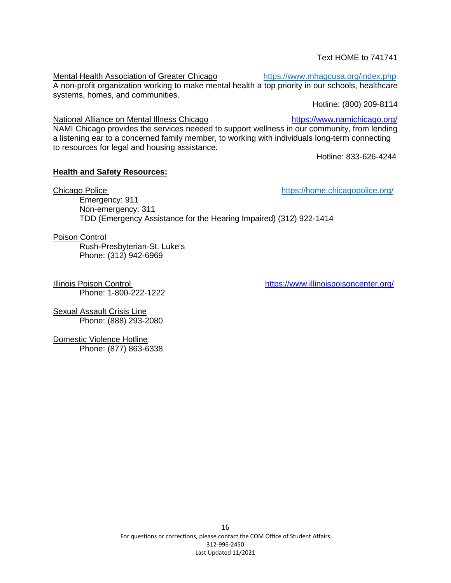#### Mental Health Association of Greater Chicago <https://www.mhagcusa.org/index.php>

A non-profit organization working to make mental health a top priority in our schools, healthcare systems, homes, and communities.

Hotline: (800) 209-8114

National Alliance on Mental Illness Chicago <https://www.namichicago.org/>

NAMI Chicago provides the services needed to support wellness in our community, from lending a listening ear to a concerned family member, to working with individuals long-term connecting to resources for legal and housing assistance.

Hotline: 833-626-4244

Chicago Police **<https://home.chicagopolice.org/>** Emergency: 911 Non-emergency: 311 TDD (Emergency Assistance for the Hearing Impaired) (312) 922-1414

Poison Control

Rush-Presbyterian-St. Luke's Phone: (312) 942-6969

Phone: 1-800-222-1222

Illinois Poison Control **<https://www.illinoispoisoncenter.org/>** 

Sexual Assault Crisis Line Phone: (888) 293-2080

Domestic Violence Hotline Phone: (877) 863-6338

**Health and Safety Resources:**

Text HOME to 741741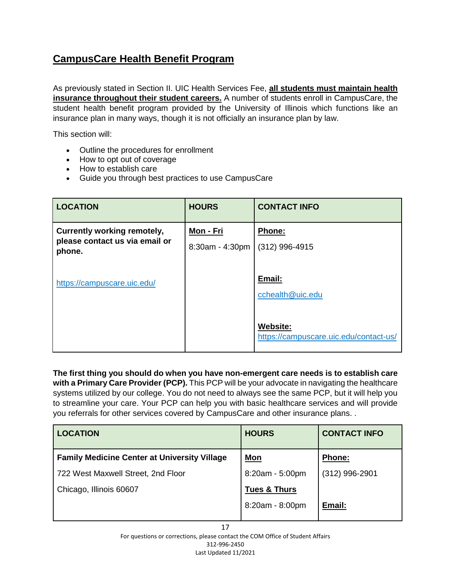# **CampusCare Health Benefit Program**

As previously stated in Section II. UIC Health Services Fee, **all students must maintain health insurance throughout their student careers.** A number of students enroll in CampusCare, the student health benefit program provided by the University of Illinois which functions like an insurance plan in many ways, though it is not officially an insurance plan by law.

This section will:

- Outline the procedures for enrollment
- How to opt out of coverage
- How to establish care
- Guide you through best practices to use CampusCare

| <b>LOCATION</b>                                                                | <b>HOURS</b>                 | <b>CONTACT INFO</b>                                       |
|--------------------------------------------------------------------------------|------------------------------|-----------------------------------------------------------|
| <b>Currently working remotely,</b><br>please contact us via email or<br>phone. | Mon - Fri<br>8:30am - 4:30pm | <b>Phone:</b><br>$(312)$ 996-4915                         |
| https://campuscare.uic.edu/                                                    |                              | Email:<br>cchealth@uic.edu                                |
|                                                                                |                              | <b>Website:</b><br>https://campuscare.uic.edu/contact-us/ |

**The first thing you should do when you have non-emergent care needs is to establish care with a Primary Care Provider (PCP).** This PCP will be your advocate in navigating the healthcare systems utilized by our college. You do not need to always see the same PCP, but it will help you to streamline your care. Your PCP can help you with basic healthcare services and will provide you referrals for other services covered by CampusCare and other insurance plans. .

| <b>LOCATION</b>                                     | <b>HOURS</b>            | <b>CONTACT INFO</b> |
|-----------------------------------------------------|-------------------------|---------------------|
| <b>Family Medicine Center at University Village</b> | <u>Mon</u>              | <b>Phone:</b>       |
| 722 West Maxwell Street, 2nd Floor                  | 8:20am - 5:00pm         | $(312)$ 996-2901    |
| Chicago, Illinois 60607                             | <b>Tues &amp; Thurs</b> |                     |
|                                                     | 8:20am - 8:00pm         | Email:              |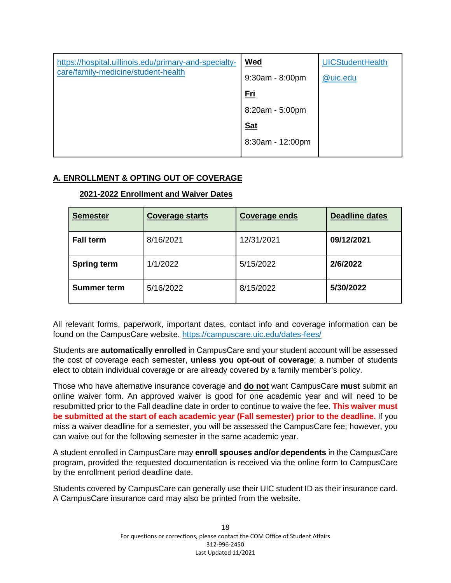| https://hospital.uillinois.edu/primary-and-specialty- | Wed               | <b>UICStudentHealth</b> |
|-------------------------------------------------------|-------------------|-------------------------|
| care/family-medicine/student-health                   | $9:30am - 8:00pm$ | @uic.edu                |
|                                                       | <u>Fri</u>        |                         |
|                                                       | 8:20am - 5:00pm   |                         |
|                                                       | <b>Sat</b>        |                         |
|                                                       | 8:30am - 12:00pm  |                         |
|                                                       |                   |                         |

## **A. ENROLLMENT & OPTING OUT OF COVERAGE**

## **2021-2022 Enrollment and Waiver Dates**

| <b>Semester</b>    | <b>Coverage starts</b> | <b>Coverage ends</b> | <b>Deadline dates</b> |
|--------------------|------------------------|----------------------|-----------------------|
| <b>Fall term</b>   | 8/16/2021              | 12/31/2021           | 09/12/2021            |
| <b>Spring term</b> | 1/1/2022               | 5/15/2022            | 2/6/2022              |
| Summer term        | 5/16/2022              | 8/15/2022            | 5/30/2022             |

All relevant forms, paperwork, important dates, contact info and coverage information can be found on the CampusCare website.<https://campuscare.uic.edu/dates-fees/>

Students are **automatically enrolled** in CampusCare and your student account will be assessed the cost of coverage each semester, **unless you opt-out of coverage**; a number of students elect to obtain individual coverage or are already covered by a family member's policy.

Those who have alternative insurance coverage and **do not** want CampusCare **must** submit an online waiver form. An approved waiver is good for one academic year and will need to be resubmitted prior to the Fall deadline date in order to continue to waive the fee. **This waiver must be submitted at the start of each academic year (Fall semester) prior to the deadline.** If you miss a waiver deadline for a semester, you will be assessed the CampusCare fee; however, you can waive out for the following semester in the same academic year.

A student enrolled in CampusCare may **enroll spouses and/or dependents** in the CampusCare program, provided the requested documentation is received via the online form to CampusCare by the enrollment period deadline date.

Students covered by CampusCare can generally use their UIC student ID as their insurance card. A CampusCare insurance card may also be printed from the website.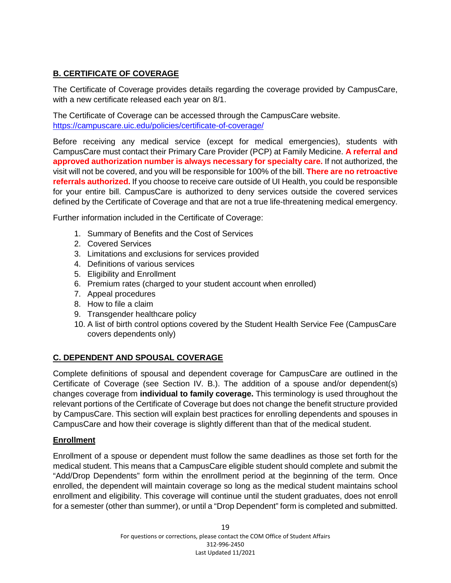## **B. CERTIFICATE OF COVERAGE**

The Certificate of Coverage provides details regarding the coverage provided by CampusCare, with a new certificate released each year on 8/1.

The Certificate of Coverage can be accessed through the CampusCare website. <https://campuscare.uic.edu/policies/certificate-of-coverage/>

Before receiving any medical service (except for medical emergencies), students with CampusCare must contact their Primary Care Provider (PCP) at Family Medicine. **A referral and approved authorization number is always necessary for specialty care.** If not authorized, the visit will not be covered, and you will be responsible for 100% of the bill. **There are no retroactive referrals authorized.** If you choose to receive care outside of UI Health, you could be responsible for your entire bill. CampusCare is authorized to deny services outside the covered services defined by the Certificate of Coverage and that are not a true life-threatening medical emergency.

Further information included in the Certificate of Coverage:

- 1. Summary of Benefits and the Cost of Services
- 2. Covered Services
- 3. Limitations and exclusions for services provided
- 4. Definitions of various services
- 5. Eligibility and Enrollment
- 6. Premium rates (charged to your student account when enrolled)
- 7. Appeal procedures
- 8. How to file a claim
- 9. Transgender healthcare policy
- 10. A list of birth control options covered by the Student Health Service Fee (CampusCare covers dependents only)

## **C. DEPENDENT AND SPOUSAL COVERAGE**

Complete definitions of spousal and dependent coverage for CampusCare are outlined in the Certificate of Coverage (see Section IV. B.). The addition of a spouse and/or dependent(s) changes coverage from **individual to family coverage.** This terminology is used throughout the relevant portions of the Certificate of Coverage but does not change the benefit structure provided by CampusCare. This section will explain best practices for enrolling dependents and spouses in CampusCare and how their coverage is slightly different than that of the medical student.

## **Enrollment**

Enrollment of a spouse or dependent must follow the same deadlines as those set forth for the medical student. This means that a CampusCare eligible student should complete and submit the "Add/Drop Dependents" form within the enrollment period at the beginning of the term. Once enrolled, the dependent will maintain coverage so long as the medical student maintains school enrollment and eligibility. This coverage will continue until the student graduates, does not enroll for a semester (other than summer), or until a "Drop Dependent" form is completed and submitted.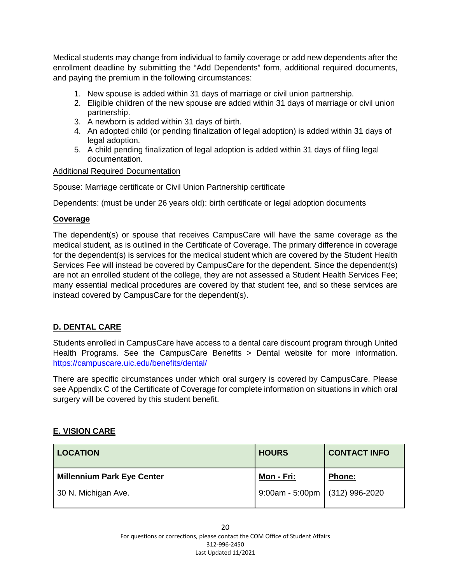Medical students may change from individual to family coverage or add new dependents after the enrollment deadline by submitting the "Add Dependents" form, additional required documents, and paying the premium in the following circumstances:

- 1. New spouse is added within 31 days of marriage or civil union partnership.
- 2. Eligible children of the new spouse are added within 31 days of marriage or civil union partnership.
- 3. A newborn is added within 31 days of birth.
- 4. An adopted child (or pending finalization of legal adoption) is added within 31 days of legal adoption.
- 5. A child pending finalization of legal adoption is added within 31 days of filing legal documentation.

#### Additional Required Documentation

Spouse: Marriage certificate or Civil Union Partnership certificate

Dependents: (must be under 26 years old): birth certificate or legal adoption documents

#### **Coverage**

The dependent(s) or spouse that receives CampusCare will have the same coverage as the medical student, as is outlined in the Certificate of Coverage. The primary difference in coverage for the dependent(s) is services for the medical student which are covered by the Student Health Services Fee will instead be covered by CampusCare for the dependent. Since the dependent(s) are not an enrolled student of the college, they are not assessed a Student Health Services Fee; many essential medical procedures are covered by that student fee, and so these services are instead covered by CampusCare for the dependent(s).

## **D. DENTAL CARE**

Students enrolled in CampusCare have access to a dental care discount program through United Health Programs. See the CampusCare Benefits > Dental website for more information. <https://campuscare.uic.edu/benefits/dental/>

There are specific circumstances under which oral surgery is covered by CampusCare. Please see Appendix C of the Certificate of Coverage for complete information on situations in which oral surgery will be covered by this student benefit.

## **E. VISION CARE**

| <b>LOCATION</b>            | <b>HOURS</b>                     | <b>CONTACT INFO</b> |
|----------------------------|----------------------------------|---------------------|
| Millennium Park Eye Center | Mon - Fri:                       | <b>Phone:</b>       |
| 30 N. Michigan Ave.        | 9:00am - 5:00pm   (312) 996-2020 |                     |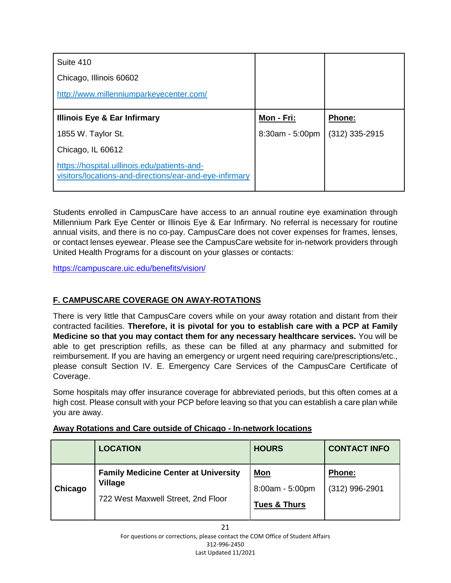| Suite 410                                                                                               |                   |                  |
|---------------------------------------------------------------------------------------------------------|-------------------|------------------|
| Chicago, Illinois 60602                                                                                 |                   |                  |
| http://www.millenniumparkeyecenter.com/                                                                 |                   |                  |
| Illinois Eye & Ear Infirmary                                                                            | Mon - Fri:        | <b>Phone:</b>    |
|                                                                                                         |                   |                  |
| 1855 W. Taylor St.                                                                                      | $8:30am - 5:00pm$ | $(312)$ 335-2915 |
| Chicago, IL 60612                                                                                       |                   |                  |
| https://hospital.uillinois.edu/patients-and-<br>visitors/locations-and-directions/ear-and-eye-infirmary |                   |                  |

Students enrolled in CampusCare have access to an annual routine eye examination through Millennium Park Eye Center or Illinois Eye & Ear Infirmary. No referral is necessary for routine annual visits, and there is no co-pay. CampusCare does not cover expenses for frames, lenses, or contact lenses eyewear. Please see the CampusCare website for in-network providers through United Health Programs for a discount on your glasses or contacts:

<https://campuscare.uic.edu/benefits/vision/>

## **F. CAMPUSCARE COVERAGE ON AWAY-ROTATIONS**

There is very little that CampusCare covers while on your away rotation and distant from their contracted facilities. **Therefore, it is pivotal for you to establish care with a PCP at Family Medicine so that you may contact them for any necessary healthcare services.** You will be able to get prescription refills, as these can be filled at any pharmacy and submitted for reimbursement. If you are having an emergency or urgent need requiring care/prescriptions/etc., please consult Section IV. E. Emergency Care Services of the CampusCare Certificate of Coverage.

Some hospitals may offer insurance coverage for abbreviated periods, but this often comes at a high cost. Please consult with your PCP before leaving so that you can establish a care plan while you are away.

|         | <b>LOCATION</b>                                                                                     | <b>HOURS</b>                                             | <b>CONTACT INFO</b>             |
|---------|-----------------------------------------------------------------------------------------------------|----------------------------------------------------------|---------------------------------|
| Chicago | <b>Family Medicine Center at University</b><br><b>Village</b><br>722 West Maxwell Street, 2nd Floor | <b>Mon</b><br>8:00am - 5:00pm<br><b>Tues &amp; Thurs</b> | <b>Phone:</b><br>(312) 996-2901 |

## **Away Rotations and Care outside of Chicago - In-network locations**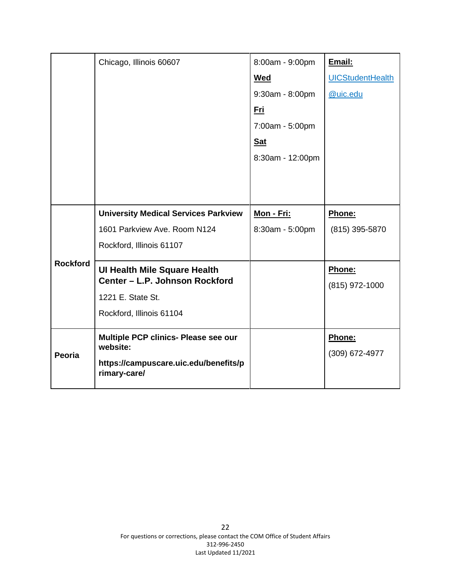|                 | Chicago, Illinois 60607                          | 8:00am - 9:00pm    | Email:                  |
|-----------------|--------------------------------------------------|--------------------|-------------------------|
|                 |                                                  | <b>Wed</b>         | <b>UICStudentHealth</b> |
|                 |                                                  | 9:30am - 8:00pm    | @uic.edu                |
|                 |                                                  | <u>Fri</u>         |                         |
|                 |                                                  | 7:00am - 5:00pm    |                         |
|                 |                                                  | <b>Sat</b>         |                         |
|                 |                                                  | 8:30am - 12:00pm   |                         |
|                 |                                                  |                    |                         |
|                 |                                                  |                    |                         |
|                 |                                                  |                    |                         |
|                 | <b>University Medical Services Parkview</b>      | <u> Mon - Fri:</u> | Phone:                  |
|                 | 1601 Parkview Ave. Room N124                     | 8:30am - 5:00pm    | (815) 395-5870          |
|                 | Rockford, Illinois 61107                         |                    |                         |
| <b>Rockford</b> | <b>UI Health Mile Square Health</b>              |                    | Phone:                  |
|                 | Center - L.P. Johnson Rockford                   |                    | (815) 972-1000          |
|                 | 1221 E. State St.                                |                    |                         |
|                 | Rockford, Illinois 61104                         |                    |                         |
|                 |                                                  |                    |                         |
|                 | Multiple PCP clinics- Please see our<br>website: |                    | Phone:                  |
| Peoria          | https://campuscare.uic.edu/benefits/p            |                    | (309) 672-4977          |
|                 | rimary-care/                                     |                    |                         |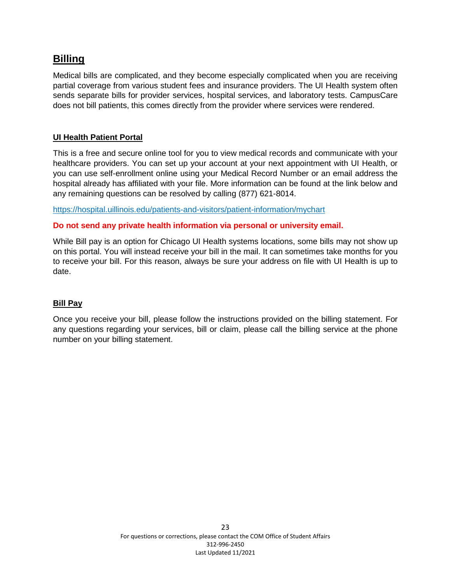# **Billing**

Medical bills are complicated, and they become especially complicated when you are receiving partial coverage from various student fees and insurance providers. The UI Health system often sends separate bills for provider services, hospital services, and laboratory tests. CampusCare does not bill patients, this comes directly from the provider where services were rendered.

#### **UI Health Patient Portal**

This is a free and secure online tool for you to view medical records and communicate with your healthcare providers. You can set up your account at your next appointment with UI Health, or you can use self-enrollment online using your Medical Record Number or an email address the hospital already has affiliated with your file. More information can be found at the link below and any remaining questions can be resolved by calling (877) 621-8014.

https://hospital.uillinois.edu/patients-and-visitors/patient-information/mychart

#### **Do not send any private health information via personal or university email.**

While Bill pay is an option for Chicago UI Health systems locations, some bills may not show up on this portal. You will instead receive your bill in the mail. It can sometimes take months for you to receive your bill. For this reason, always be sure your address on file with UI Health is up to date.

#### **Bill Pay**

Once you receive your bill, please follow the instructions provided on the billing statement. For any questions regarding your services, bill or claim, please call the billing service at the phone number on your billing statement.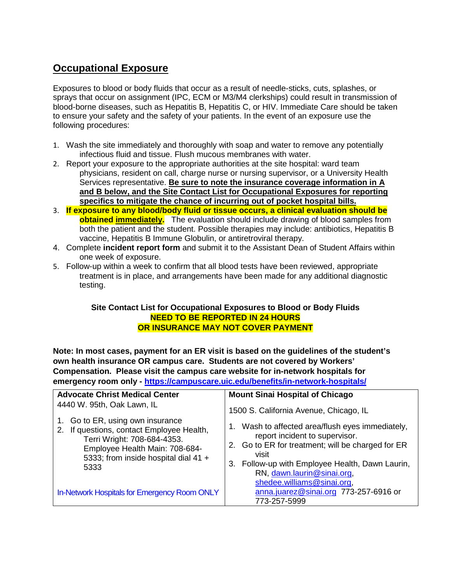# **Occupational Exposure**

Exposures to blood or body fluids that occur as a result of needle-sticks, cuts, splashes, or sprays that occur on assignment (IPC, ECM or M3/M4 clerkships) could result in transmission of blood-borne diseases, such as Hepatitis B, Hepatitis C, or HIV. Immediate Care should be taken to ensure your safety and the safety of your patients. In the event of an exposure use the following procedures:

- 1. Wash the site immediately and thoroughly with soap and water to remove any potentially infectious fluid and tissue. Flush mucous membranes with water.
- 2. Report your exposure to the appropriate authorities at the site hospital: ward team physicians, resident on call, charge nurse or nursing supervisor, or a University Health Services representative. **Be sure to note the insurance coverage information in A and B below, and the Site Contact List for [Occupational Exposures](http://www.uic.edu/depts/mcam/osa/policy/occupexposureList.htm) for reporting specifics to mitigate the chance of incurring out of pocket hospital bills.**
- 3. **If exposure to any blood/body fluid or tissue occurs, a clinical evaluation should be obtained immediately.** The evaluation should include drawing of blood samples from both the patient and the student. Possible therapies may include: antibiotics, Hepatitis B vaccine, Hepatitis B Immune Globulin, or antiretroviral therapy.
- 4. Complete **incident report form** and submit it to the Assistant Dean of Student Affairs within one week of exposure.
- 5. Follow-up within a week to confirm that all blood tests have been reviewed, appropriate treatment is in place, and arrangements have been made for any additional diagnostic testing.

#### **Site Contact List for Occupational Exposures to Blood or Body Fluids NEED TO BE REPORTED IN 24 HOURS OR INSURANCE MAY NOT COVER PAYMENT**

**Note: In most cases, payment for an ER visit is based on the guidelines of the student's own health insurance OR campus care. Students are not covered by Workers' Compensation. Please visit the campus care website for in-network hospitals for emergency room only - https://campuscare.uic.edu/benefits/in-network-hospitals/**

| <b>Advocate Christ Medical Center</b>                                                                                                                                                  | <b>Mount Sinai Hospital of Chicago</b>                                                                                                        |
|----------------------------------------------------------------------------------------------------------------------------------------------------------------------------------------|-----------------------------------------------------------------------------------------------------------------------------------------------|
| 4440 W. 95th, Oak Lawn, IL                                                                                                                                                             | 1500 S. California Avenue, Chicago, IL                                                                                                        |
| 1. Go to ER, using own insurance<br>2. If questions, contact Employee Health,<br>Terri Wright: 708-684-4353.<br>Employee Health Main: 708-684-<br>5333; from inside hospital dial 41 + | Wash to affected area/flush eyes immediately,<br>report incident to supervisor.<br>2. Go to ER for treatment; will be charged for ER<br>visit |
| 5333                                                                                                                                                                                   | Follow-up with Employee Health, Dawn Laurin,<br>З.<br>RN, dawn.laurin@sinai.org,<br>shedee.williams@sinai.org,                                |
| In-Network Hospitals for Emergency Room ONLY                                                                                                                                           | anna.juarez@sinai.org 773-257-6916 or<br>773-257-5999                                                                                         |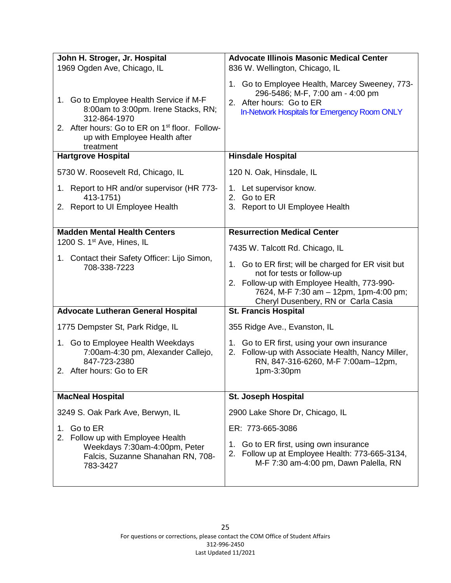| John H. Stroger, Jr. Hospital<br>1969 Ogden Ave, Chicago, IL                                                                                                                                               | <b>Advocate Illinois Masonic Medical Center</b>                                                                                                                                                                   |  |
|------------------------------------------------------------------------------------------------------------------------------------------------------------------------------------------------------------|-------------------------------------------------------------------------------------------------------------------------------------------------------------------------------------------------------------------|--|
| 1. Go to Employee Health Service if M-F<br>8:00am to 3:00pm. Irene Stacks, RN;<br>312-864-1970<br>2. After hours: Go to ER on 1 <sup>st</sup> floor. Follow-<br>up with Employee Health after<br>treatment | 836 W. Wellington, Chicago, IL<br>1. Go to Employee Health, Marcey Sweeney, 773-<br>296-5486; M-F, 7:00 am - 4:00 pm<br>2. After hours: Go to ER<br>In-Network Hospitals for Emergency Room ONLY                  |  |
| <b>Hartgrove Hospital</b>                                                                                                                                                                                  | <b>Hinsdale Hospital</b>                                                                                                                                                                                          |  |
| 5730 W. Roosevelt Rd, Chicago, IL                                                                                                                                                                          | 120 N. Oak, Hinsdale, IL                                                                                                                                                                                          |  |
| 1. Report to HR and/or supervisor (HR 773-<br>413-1751)<br>2. Report to UI Employee Health                                                                                                                 | 1. Let supervisor know.<br>2. Go to ER<br>3. Report to UI Employee Health                                                                                                                                         |  |
| <b>Madden Mental Health Centers</b>                                                                                                                                                                        | <b>Resurrection Medical Center</b>                                                                                                                                                                                |  |
| 1200 S. 1 <sup>st</sup> Ave, Hines, IL                                                                                                                                                                     | 7435 W. Talcott Rd. Chicago, IL                                                                                                                                                                                   |  |
| 1. Contact their Safety Officer: Lijo Simon,<br>708-338-7223                                                                                                                                               | 1. Go to ER first; will be charged for ER visit but<br>not for tests or follow-up<br>2. Follow-up with Employee Health, 773-990-<br>7624, M-F 7:30 am - 12pm, 1pm-4:00 pm;<br>Cheryl Dusenbery, RN or Carla Casia |  |
| <b>Advocate Lutheran General Hospital</b>                                                                                                                                                                  | <b>St. Francis Hospital</b>                                                                                                                                                                                       |  |
| 1775 Dempster St, Park Ridge, IL                                                                                                                                                                           | 355 Ridge Ave., Evanston, IL                                                                                                                                                                                      |  |
| 1. Go to Employee Health Weekdays<br>7:00am-4:30 pm, Alexander Callejo,<br>847-723-2380<br>2. After hours: Go to ER                                                                                        | 1. Go to ER first, using your own insurance<br>2. Follow-up with Associate Health, Nancy Miller,<br>RN, 847-316-6260, M-F 7:00am-12pm,<br>1pm-3:30pm                                                              |  |
| <b>MacNeal Hospital</b>                                                                                                                                                                                    | St. Joseph Hospital                                                                                                                                                                                               |  |
| 3249 S. Oak Park Ave, Berwyn, IL                                                                                                                                                                           | 2900 Lake Shore Dr, Chicago, IL                                                                                                                                                                                   |  |
| Go to ER<br>1.<br>2. Follow up with Employee Health<br>Weekdays 7:30am-4:00pm, Peter<br>Falcis, Suzanne Shanahan RN, 708-<br>783-3427                                                                      | ER: 773-665-3086<br>Go to ER first, using own insurance<br>1.<br>2. Follow up at Employee Health: 773-665-3134,<br>M-F 7:30 am-4:00 pm, Dawn Palella, RN                                                          |  |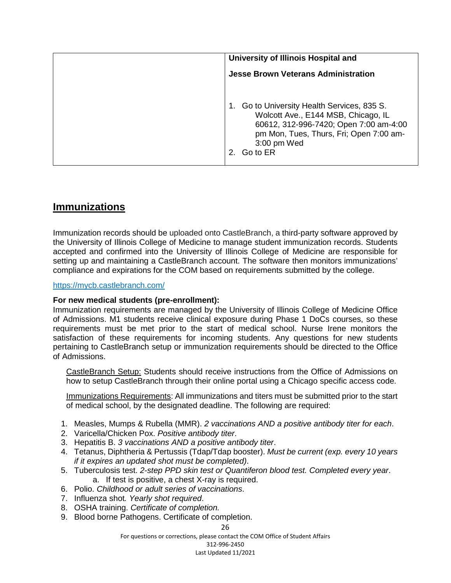| University of Illinois Hospital and<br><b>Jesse Brown Veterans Administration</b>                                                                                                               |
|-------------------------------------------------------------------------------------------------------------------------------------------------------------------------------------------------|
| Go to University Health Services, 835 S.<br>Wolcott Ave., E144 MSB, Chicago, IL<br>60612, 312-996-7420; Open 7:00 am-4:00<br>pm Mon, Tues, Thurs, Fri; Open 7:00 am-<br>3:00 pm Wed<br>Go to ER |

# **Immunizations**

Immunization records should be uploaded onto CastleBranch, a third-party software approved by the University of Illinois College of Medicine to manage student immunization records. Students accepted and confirmed into the University of Illinois College of Medicine are responsible for setting up and maintaining a CastleBranch account. The software then monitors immunizations' compliance and expirations for the COM based on requirements submitted by the college.

<https://mycb.castlebranch.com/>

#### **For new medical students (pre-enrollment):**

Immunization requirements are managed by the University of Illinois College of Medicine Office of Admissions. M1 students receive clinical exposure during Phase 1 DoCs courses, so these requirements must be met prior to the start of medical school. Nurse Irene monitors the satisfaction of these requirements for incoming students. Any questions for new students pertaining to CastleBranch setup or immunization requirements should be directed to the Office of Admissions.

CastleBranch Setup: Students should receive instructions from the Office of Admissions on how to setup CastleBranch through their online portal using a Chicago specific access code.

Immunizations Requirements: All immunizations and titers must be submitted prior to the start of medical school, by the designated deadline. The following are required:

- 1. Measles, Mumps & Rubella (MMR). *2 vaccinations AND a positive antibody titer for each*.
- 2. Varicella/Chicken Pox. *Positive antibody titer*.
- 3. Hepatitis B. *3 vaccinations AND a positive antibody titer*.
- 4. Tetanus, Diphtheria & Pertussis (Tdap/Tdap booster). *Must be current (exp. every 10 years if it expires an updated shot must be completed)*.
- 5. Tuberculosis test. *2-step PPD skin test or Quantiferon blood test. Completed every year*. a. If test is positive, a chest X-ray is required.
- 6. Polio. *Childhood or adult series of vaccinations*.
- 7. Influenza shot*. Yearly shot required*.
- 8. OSHA training. *Certificate of completion.*
- 9. Blood borne Pathogens. Certificate of completion.

26

For questions or corrections, please contact the COM Office of Student Affairs 312-996-2450

Last Updated 11/2021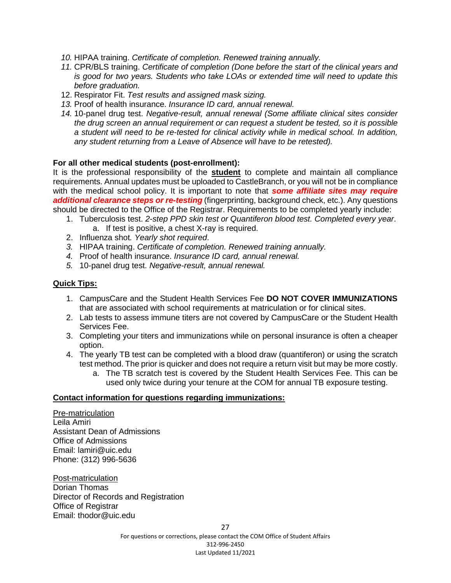- *10.* HIPAA training. *Certificate of completion. Renewed training annually.*
- *11.* CPR/BLS training. *Certificate of completion (Done before the start of the clinical years and is good for two years. Students who take LOAs or extended time will need to update this before graduation.*
- 12. Respirator Fit. *Test results and assigned mask sizing.*
- *13.* Proof of health insurance. *Insurance ID card, annual renewal.*
- *14.* 10-panel drug test. *Negative-result, annual renewal (Some affiliate clinical sites consider the drug screen an annual requirement or can request a student be tested, so it is possible a student will need to be re-tested for clinical activity while in medical school. In addition, any student returning from a Leave of Absence will have to be retested).*

#### **For all other medical students (post-enrollment):**

It is the professional responsibility of the **student** to complete and maintain all compliance requirements. Annual updates must be uploaded to CastleBranch, or you will not be in compliance with the medical school policy. It is important to note that *some affiliate sites may require additional clearance steps or re-testing* (fingerprinting, background check, etc.). Any questions should be directed to the Office of the Registrar. Requirements to be completed yearly include:

- 1. Tuberculosis test. *2-step PPD skin test or Quantiferon blood test. Completed every year*. a. If test is positive, a chest X-ray is required.
- 2. Influenza shot*. Yearly shot required*.
- *3.* HIPAA training. *Certificate of completion. Renewed training annually.*
- *4.* Proof of health insurance. *Insurance ID card, annual renewal.*
- *5.* 10-panel drug test. *Negative-result, annual renewal.*

#### **Quick Tips:**

- 1. CampusCare and the Student Health Services Fee **DO NOT COVER IMMUNIZATIONS** that are associated with school requirements at matriculation or for clinical sites.
- 2. Lab tests to assess immune titers are not covered by CampusCare or the Student Health Services Fee.
- 3. Completing your titers and immunizations while on personal insurance is often a cheaper option.
- 4. The yearly TB test can be completed with a blood draw (quantiferon) or using the scratch test method. The prior is quicker and does not require a return visit but may be more costly.
	- a. The TB scratch test is covered by the Student Health Services Fee. This can be used only twice during your tenure at the COM for annual TB exposure testing.

#### **Contact information for questions regarding immunizations:**

Pre-matriculation Leila Amiri Assistant Dean of Admissions Office of Admissions Email: lamiri@uic.edu Phone: (312) 996-5636

Post-matriculation Dorian Thomas Director of Records and Registration Office of Registrar Email: thodor@uic.edu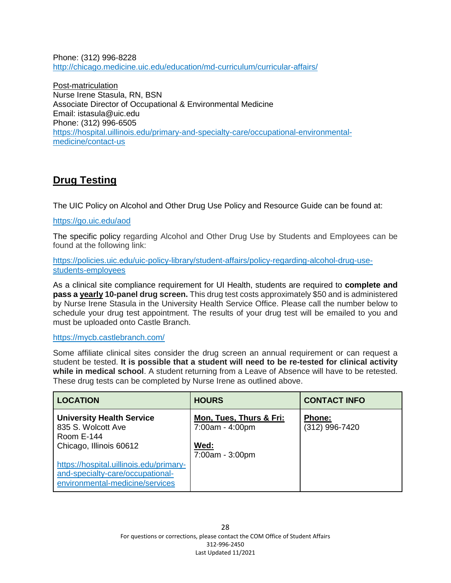Phone: (312) 996-8228 <http://chicago.medicine.uic.edu/education/md-curriculum/curricular-affairs/>

Post-matriculation Nurse Irene Stasula, RN, BSN Associate Director of Occupational & Environmental Medicine Email: istasula@uic.edu Phone: (312) 996-6505 https://hospital.uillinois.edu/primary-and-specialty-care/occupational-environmentalmedicine/contact-us

# **Drug Testing**

The UIC Policy on Alcohol and Other Drug Use Policy and Resource Guide can be found at:

#### <https://go.uic.edu/aod>

The specific policy regarding Alcohol and Other Drug Use by Students and Employees can be found at the following link:

[https://policies.uic.edu/uic-policy-library/student-affairs/policy-regarding-alcohol-drug-use](https://policies.uic.edu/uic-policy-library/student-affairs/policy-regarding-alcohol-drug-use-students-employees/)[students-employees](https://policies.uic.edu/uic-policy-library/student-affairs/policy-regarding-alcohol-drug-use-students-employees/)

As a clinical site compliance requirement for UI Health, students are required to **complete and pass a yearly 10-panel drug screen.** This drug test costs approximately \$50 and is administered by Nurse Irene Stasula in the University Health Service Office. Please call the number below to schedule your drug test appointment. The results of your drug test will be emailed to you and must be uploaded onto Castle Branch.

#### <https://mycb.castlebranch.com/>

Some affiliate clinical sites consider the drug screen an annual requirement or can request a student be tested. **It is possible that a student will need to be re-tested for clinical activity while in medical school**. A student returning from a Leave of Absence will have to be retested. These drug tests can be completed by Nurse Irene as outlined above.

| <b>LOCATION</b>                                                                                                | <b>HOURS</b>                                 | <b>CONTACT INFO</b>             |
|----------------------------------------------------------------------------------------------------------------|----------------------------------------------|---------------------------------|
| <b>University Health Service</b><br>835 S. Wolcott Ave<br>Room E-144                                           | Mon, Tues, Thurs & Fri:<br>$7:00am - 4:00pm$ | <b>Phone:</b><br>(312) 996-7420 |
| Chicago, Illinois 60612                                                                                        | Wed:<br>7:00am - 3:00pm                      |                                 |
| https://hospital.uillinois.edu/primary-<br>and-specialty-care/occupational-<br>environmental-medicine/services |                                              |                                 |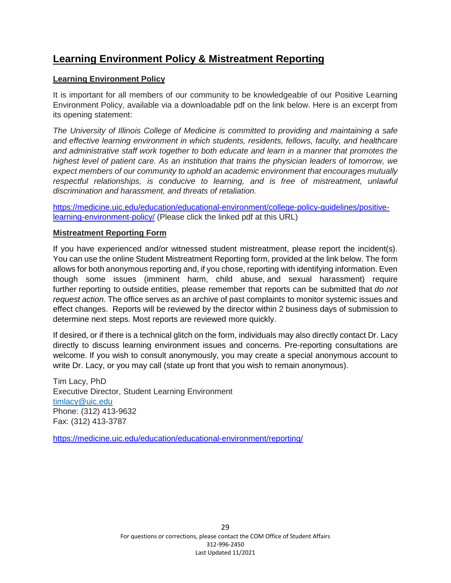# **Learning Environment Policy & Mistreatment Reporting**

#### **Learning Environment Policy**

It is important for all members of our community to be knowledgeable of our Positive Learning Environment Policy, available via a downloadable pdf on the link below. Here is an excerpt from its opening statement:

*The University of Illinois College of Medicine is committed to providing and maintaining a safe and effective learning environment in which students, residents, fellows, faculty, and healthcare and administrative staff work together to both educate and learn in a manner that promotes the highest level of patient care. As an institution that trains the physician leaders of tomorrow, we expect members of our community to uphold an academic environment that encourages mutually*  respectful relationships, is conducive to learning, and is free of mistreatment, unlawful *discrimination and harassment, and threats of retaliation.*

[https://medicine.uic.edu/education/educational-environment/college-policy-guidelines/positive](https://medicine.uic.edu/education/educational-environment/college-policy-guidelines/positive-learning-environment-policy/)[learning-environment-policy/](https://medicine.uic.edu/education/educational-environment/college-policy-guidelines/positive-learning-environment-policy/) (Please click the linked pdf at this URL)

#### **Mistreatment Reporting Form**

If you have experienced and/or witnessed student mistreatment, please report the incident(s). You can use the online Student Mistreatment Reporting form, provided at the link below. The form allows for both anonymous reporting and, if you chose, reporting with identifying information. Even though some issues (imminent harm, child abuse, and sexual harassment) require further reporting to outside entities, please remember that reports can be submitted that *do not request action*. The office serves as an archive of past complaints to monitor systemic issues and effect changes. Reports will be reviewed by the director within 2 business days of submission to determine next steps. Most reports are reviewed more quickly.

If desired, or if there is a technical glitch on the form, individuals may also directly contact Dr. Lacy directly to discuss learning environment issues and concerns. Pre-reporting consultations are welcome. If you wish to consult anonymously, you may create a special anonymous account to write Dr. Lacy, or you may call (state up front that you wish to remain anonymous).

Tim Lacy, PhD Executive Director, Student Learning Environment [timlacy@uic.edu](mailto:timlacy@uic.edu) Phone: (312) 413-9632 Fax: (312) 413-3787

<https://medicine.uic.edu/education/educational-environment/reporting/>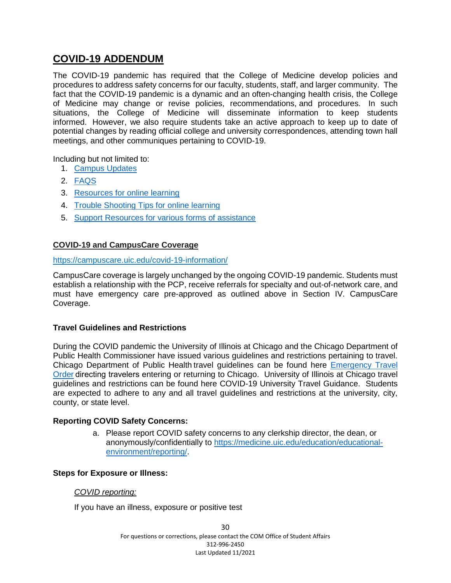# **COVID-19 ADDENDUM**

The COVID-19 pandemic has required that the College of Medicine develop policies and procedures to address safety concerns for our faculty, students, staff, and larger community. The fact that the COVID-19 pandemic is a dynamic and an often-changing health crisis, the College of Medicine may change or revise policies, recommendations, and procedures. In such situations, the College of Medicine will disseminate information to keep students informed. However, we also require students take an active approach to keep up to date of potential changes by reading official college and university correspondences, attending town hall meetings, and other communiques pertaining to COVID-19.

Including but not limited to:

- 1. [Campus Updates](https://today.uic.edu/tag/coronavirus)
- 2. [FAQS](https://today.uic.edu/frequently-asked-questions)
- 3. [Resources for online learning](https://accc.uic.edu/online-learning/online-learning-students/)
- 4. [Trouble Shooting Tips for online learning](https://uofi.app.box.com/s/1i0v2frey1j2liecb00w48jy57thz235)
- 5. [Support Resources for various forms of assistance](https://today.uic.edu/support-for-the-uic-community)

#### **COVID-19 and CampusCare Coverage**

#### <https://campuscare.uic.edu/covid-19-information/>

CampusCare coverage is largely unchanged by the ongoing COVID-19 pandemic. Students must establish a relationship with the PCP, receive referrals for specialty and out-of-network care, and must have emergency care pre-approved as outlined above in Section IV. CampusCare Coverage.

#### **Travel Guidelines and Restrictions**

During the COVID pandemic the University of Illinois at Chicago and the Chicago Department of Public Health Commissioner have issued various guidelines and restrictions pertaining to travel. Chicago Department of Public Health travel guidelines can be found here [Emergency Travel](https://www.chicago.gov/city/en/sites/covid-19/home/health-orders.html)  [Order](https://www.chicago.gov/city/en/sites/covid-19/home/health-orders.html) directing travelers entering or returning to Chicago. University of Illinois at Chicago travel guidelines and restrictions can be found here COVID-19 University Travel Guidance. Students are expected to adhere to any and all travel guidelines and restrictions at the university, city, county, or state level.

#### **Reporting COVID Safety Concerns:**

a. Please report COVID safety concerns to any clerkship director, the dean, or anonymously/confidentially to [https://medicine.uic.edu/education/educational](https://medicine.uic.edu/education/educational-environment/reporting/)[environment/reporting/.](https://medicine.uic.edu/education/educational-environment/reporting/)

#### **Steps for Exposure or Illness:**

#### *COVID reporting:*

If you have an illness, exposure or positive test

30 For questions or corrections, please contact the COM Office of Student Affairs 312-996-2450 Last Updated 11/2021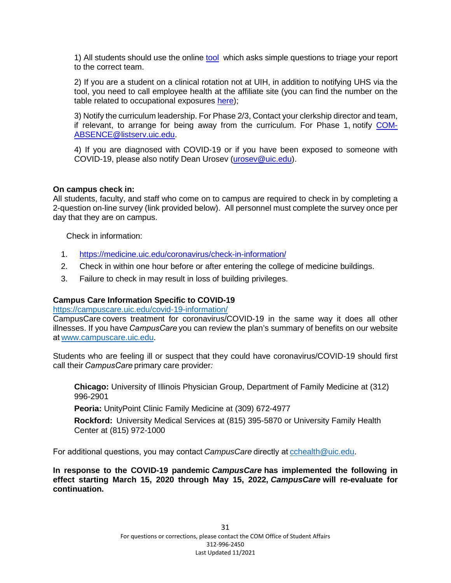1) All students should use the online [tool](https://www.redcap.ihrp.uic.edu/surveys/?s=PH78WANDNX) which asks simple questions to triage your report to the correct team.

2) If you are a student on a clinical rotation not at UIH, in addition to notifying UHS via the tool, you need to call employee health at the affiliate site (you can find the number on the table related to occupational exposures [here\)](https://chicago.medicine.uic.edu/wp-content/uploads/sites/6/2020/06/Procedures-Occupational-Exposures-AY-20-21-6-1-20.pdf);

3) Notify the curriculum leadership. For Phase 2/3, Contact your clerkship director and team, if relevant, to arrange for being away from the curriculum. For Phase 1, notify [COM-](mailto:COM-ABSENCE@listserv.uic.edu)[ABSENCE@listserv.uic.edu.](mailto:COM-ABSENCE@listserv.uic.edu)

4) If you are diagnosed with COVID-19 or if you have been exposed to someone with COVID-19, please also notify Dean Urosev [\(urosev@uic.edu\)](mailto:urosev@uic.edu).

#### **On campus check in:**

All students, faculty, and staff who come on to campus are required to check in by completing a 2-question on-line survey (link provided below). All personnel must complete the survey once per day that they are on campus.

Check in information:

- 1. <https://medicine.uic.edu/coronavirus/check-in-information/>
- 2. Check in within one hour before or after entering the college of medicine buildings.
- 3. Failure to check in may result in loss of building privileges.

#### **Campus Care Information Specific to COVID-19**

<https://campuscare.uic.edu/covid-19-information/>

CampusCare covers treatment for coronavirus/COVID-19 in the same way it does all other illnesses. If you have*CampusCare*you can review the plan's summary of benefits on our website at [www.campuscare.uic.edu.](http://www.campuscare.uic.edu/)

Students who are feeling ill or suspect that they could have coronavirus/COVID-19 should first call their*CampusCare*primary care provider*:*

**Chicago:** University of Illinois Physician Group, Department of Family Medicine at (312) 996-2901

**Peoria:** UnityPoint Clinic Family Medicine at (309) 672-4977

**Rockford:** University Medical Services at (815) 395-5870 or University Family Health Center at (815) 972-1000

For additional questions, you may contact *CampusCare* directly at [cchealth@uic.edu.](mailto:cchealth@uic.edu)

**In response to the COVID-19 pandemic** *CampusCare* **has implemented the following in effect starting March 15, 2020 through May 15, 2022,** *CampusCare* **will re-evaluate for continuation.**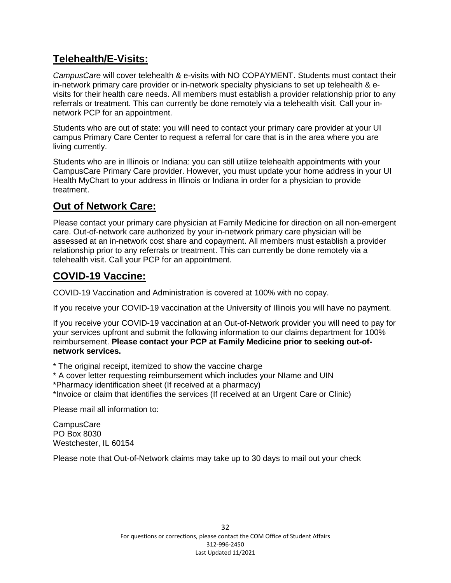# **Telehealth/E-Visits:**

*CampusCare* will cover telehealth & e-visits with NO COPAYMENT. Students must contact their in-network primary care provider or in-network specialty physicians to set up telehealth & evisits for their health care needs. All members must establish a provider relationship prior to any referrals or treatment. This can currently be done remotely via a telehealth visit. Call your innetwork PCP for an appointment.

Students who are out of state: you will need to contact your primary care provider at your UI campus Primary Care Center to request a referral for care that is in the area where you are living currently.

Students who are in Illinois or Indiana: you can still utilize telehealth appointments with your CampusCare Primary Care provider. However, you must update your home address in your UI Health MyChart to your address in Illinois or Indiana in order for a physician to provide treatment.

# **Out of Network Care:**

Please contact your primary care physician at Family Medicine for direction on all non-emergent care. Out-of-network care authorized by your in-network primary care physician will be assessed at an in-network cost share and copayment. All members must establish a provider relationship prior to any referrals or treatment. This can currently be done remotely via a telehealth visit. Call your PCP for an appointment.

# **COVID-19 Vaccine:**

COVID-19 Vaccination and Administration is covered at 100% with no copay.

If you receive your COVID-19 vaccination at the University of Illinois you will have no payment.

If you receive your COVID-19 vaccination at an Out-of-Network provider you will need to pay for your services upfront and submit the following information to our claims department for 100% reimbursement. **Please contact your PCP at Family Medicine prior to seeking out-ofnetwork services.**

\* The original receipt, itemized to show the vaccine charge

- \* A cover letter requesting reimbursement which includes your NIame and UIN
- \*Pharmacy identification sheet (If received at a pharmacy)
- \*Invoice or claim that identifies the services (If received at an Urgent Care or Clinic)

Please mail all information to:

**CampusCare** PO Box 8030 Westchester, IL 60154

Please note that Out-of-Network claims may take up to 30 days to mail out your check